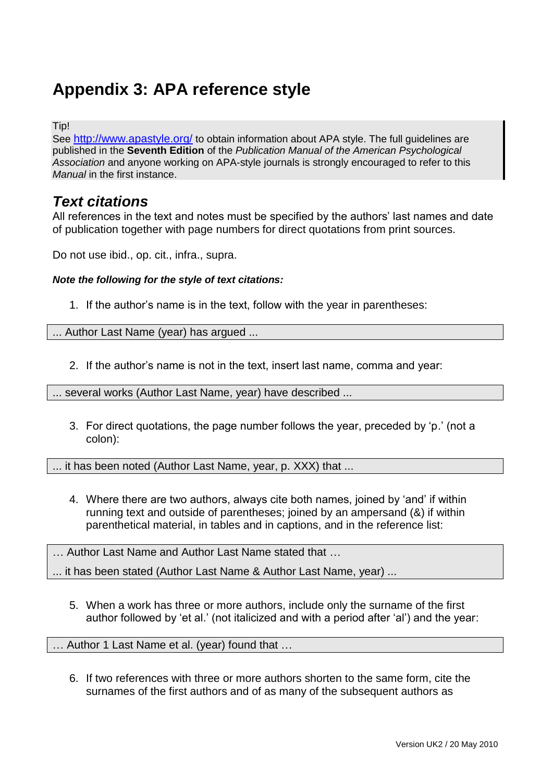# **Appendix 3: APA reference style**

Tip!

See <http://www.apastyle.org/> to obtain information about APA style. The full guidelines are published in the **Seventh Edition** of the *Publication Manual of the American Psychological Association* and anyone working on APA-style journals is strongly encouraged to refer to this *Manual* in the first instance.

## *Text citations*

All references in the text and notes must be specified by the authors' last names and date of publication together with page numbers for direct quotations from print sources.

Do not use ibid., op. cit., infra., supra.

#### *Note the following for the style of text citations:*

1. If the author's name is in the text, follow with the year in parentheses:

... Author Last Name (year) has argued ...

2. If the author's name is not in the text, insert last name, comma and year:

... several works (Author Last Name, year) have described ...

3. For direct quotations, the page number follows the year, preceded by 'p.' (not a colon):

... it has been noted (Author Last Name, year, p. XXX) that ...

4. Where there are two authors, always cite both names, joined by 'and' if within running text and outside of parentheses; joined by an ampersand (&) if within parenthetical material, in tables and in captions, and in the reference list:

… Author Last Name and Author Last Name stated that …

... it has been stated (Author Last Name & Author Last Name, year) ...

5. When a work has three or more authors, include only the surname of the first author followed by 'et al.' (not italicized and with a period after 'al') and the year:

… Author 1 Last Name et al. (year) found that …

6. If two references with three or more authors shorten to the same form, cite the surnames of the first authors and of as many of the subsequent authors as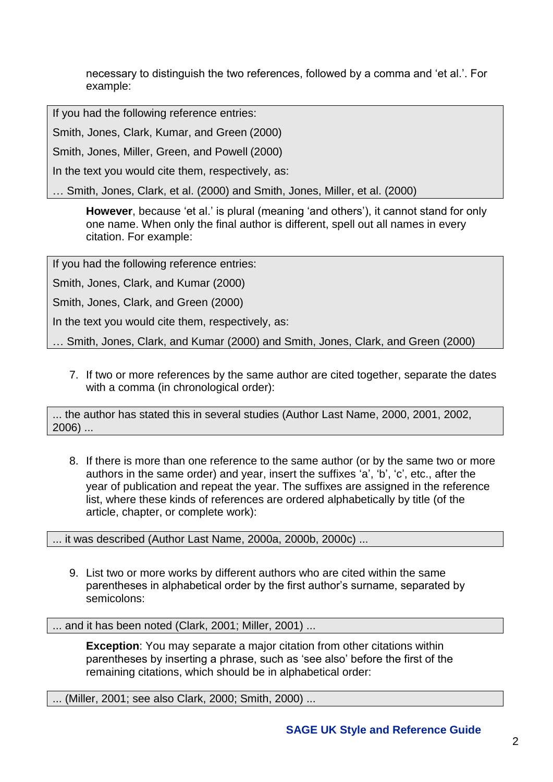necessary to distinguish the two references, followed by a comma and 'et al.'. For example:

If you had the following reference entries:

Smith, Jones, Clark, Kumar, and Green (2000)

Smith, Jones, Miller, Green, and Powell (2000)

In the text you would cite them, respectively, as:

… Smith, Jones, Clark, et al. (2000) and Smith, Jones, Miller, et al. (2000)

**However**, because 'et al.' is plural (meaning 'and others'), it cannot stand for only one name. When only the final author is different, spell out all names in every citation. For example:

If you had the following reference entries:

Smith, Jones, Clark, and Kumar (2000)

Smith, Jones, Clark, and Green (2000)

In the text you would cite them, respectively, as:

… Smith, Jones, Clark, and Kumar (2000) and Smith, Jones, Clark, and Green (2000)

7. If two or more references by the same author are cited together, separate the dates with a comma (in chronological order):

... the author has stated this in several studies (Author Last Name, 2000, 2001, 2002, 2006) ...

8. If there is more than one reference to the same author (or by the same two or more authors in the same order) and year, insert the suffixes 'a', 'b', 'c', etc., after the year of publication and repeat the year. The suffixes are assigned in the reference list, where these kinds of references are ordered alphabetically by title (of the article, chapter, or complete work):

... it was described (Author Last Name, 2000a, 2000b, 2000c) ...

9. List two or more works by different authors who are cited within the same parentheses in alphabetical order by the first author's surname, separated by semicolons:

... and it has been noted (Clark, 2001; Miller, 2001) ...

**Exception**: You may separate a major citation from other citations within parentheses by inserting a phrase, such as 'see also' before the first of the remaining citations, which should be in alphabetical order:

... (Miller, 2001; see also Clark, 2000; Smith, 2000) ...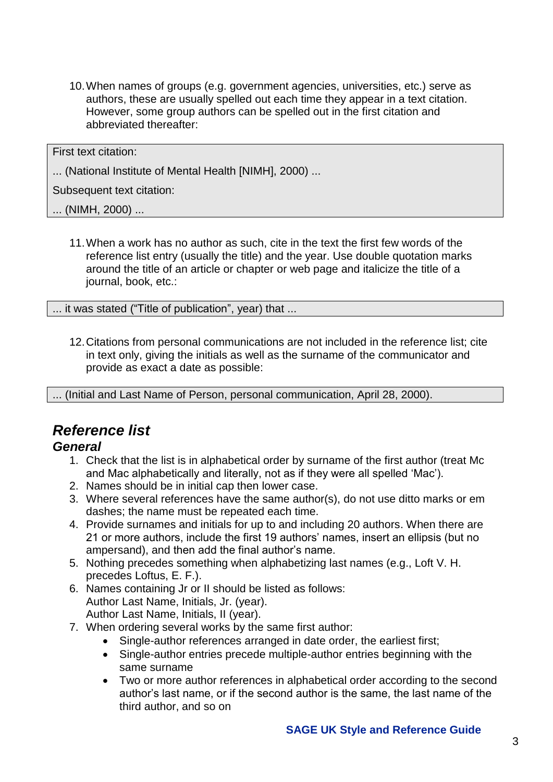10.When names of groups (e.g. government agencies, universities, etc.) serve as authors, these are usually spelled out each time they appear in a text citation. However, some group authors can be spelled out in the first citation and abbreviated thereafter:

First text citation:

... (National Institute of Mental Health [NIMH], 2000) ...

Subsequent text citation:

... (NIMH, 2000) ...

11.When a work has no author as such, cite in the text the first few words of the reference list entry (usually the title) and the year. Use double quotation marks around the title of an article or chapter or web page and italicize the title of a journal, book, etc.:

... it was stated ("Title of publication", year) that ...

12.Citations from personal communications are not included in the reference list; cite in text only, giving the initials as well as the surname of the communicator and provide as exact a date as possible:

... (Initial and Last Name of Person, personal communication, April 28, 2000).

## *Reference list*

## *General*

- 1. Check that the list is in alphabetical order by surname of the first author (treat Mc and Mac alphabetically and literally, not as if they were all spelled 'Mac').
- 2. Names should be in initial cap then lower case.
- 3. Where several references have the same author(s), do not use ditto marks or em dashes; the name must be repeated each time.
- 4. Provide surnames and initials for up to and including 20 authors. When there are 21 or more authors, include the first 19 authors' names, insert an ellipsis (but no ampersand), and then add the final author's name.
- 5. Nothing precedes something when alphabetizing last names (e.g., Loft V. H. precedes Loftus, E. F.).
- 6. Names containing Jr or II should be listed as follows: Author Last Name, Initials, Jr. (year). Author Last Name, Initials, II (year).
- 7. When ordering several works by the same first author:
	- Single-author references arranged in date order, the earliest first;
	- Single-author entries precede multiple-author entries beginning with the same surname
	- Two or more author references in alphabetical order according to the second author's last name, or if the second author is the same, the last name of the third author, and so on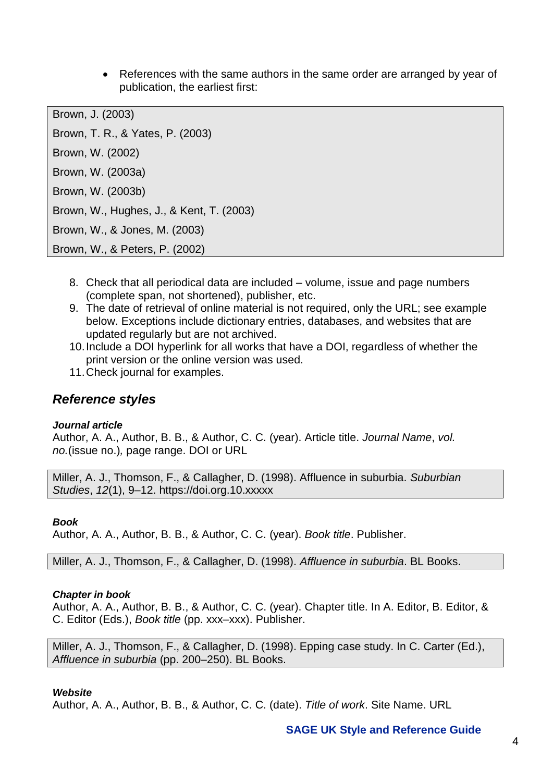• References with the same authors in the same order are arranged by year of publication, the earliest first:

Brown, J. (2003) Brown, T. R., & Yates, P. (2003) Brown, W. (2002) Brown, W. (2003a) Brown, W. (2003b) Brown, W., Hughes, J., & Kent, T. (2003) Brown, W., & Jones, M. (2003) Brown, W., & Peters, P. (2002)

- 8. Check that all periodical data are included volume, issue and page numbers (complete span, not shortened), publisher, etc.
- 9. The date of retrieval of online material is not required, only the URL; see example below. Exceptions include dictionary entries, databases, and websites that are updated regularly but are not archived.
- 10.Include a DOI hyperlink for all works that have a DOI, regardless of whether the print version or the online version was used.
- 11.Check journal for examples.

## *Reference styles*

#### *Journal article*

Author, A. A., Author, B. B., & Author, C. C. (year). Article title. *Journal Name*, *vol. no.*(issue no.)*,* page range. DOI or URL

Miller, A. J., Thomson, F., & Callagher, D. (1998). Affluence in suburbia. *Suburbian Studies*, *12*(1), 9–12. https://doi.org.10.xxxxx

#### *Book*

Author, A. A., Author, B. B., & Author, C. C. (year). *Book title*. Publisher.

Miller, A. J., Thomson, F., & Callagher, D. (1998). *Affluence in suburbia*. BL Books.

#### *Chapter in book*

Author, A. A., Author, B. B., & Author, C. C. (year). Chapter title. In A. Editor, B. Editor, & C. Editor (Eds.), *Book title* (pp. xxx–xxx). Publisher.

Miller, A. J., Thomson, F., & Callagher, D. (1998). Epping case study. In C. Carter (Ed.), *Affluence in suburbia* (pp. 200–250). BL Books.

#### *Website*

Author, A. A., Author, B. B., & Author, C. C. (date). *Title of work*. Site Name. URL

### **SAGE UK Style and Reference Guide**